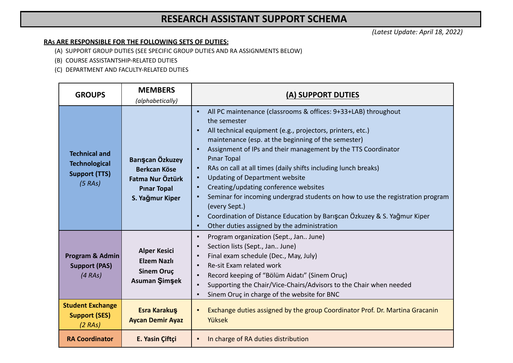## **RESEARCH ASSISTANT SUPPORT SCHEMA**

*(Latest Update: April 18, 2022)*

## **RAS ARE RESPONSIBLE FOR THE FOLLOWING SETS OF DUTIES:**

(A) SUPPORT GROUP DUTIES (SEE SPECIFIC GROUP DUTIES AND RA ASSIGNMENTS BELOW)

(B) COURSE ASSISTANTSHIP-RELATED DUTIES

(C) DEPARTMENT AND FACULTY-RELATED DUTIES

| <b>GROUPS</b>                                                                   | <b>MEMBERS</b><br>(alphabetically)                                                                   | (A) SUPPORT DUTIES                                                                                                                                                                                                                                                                                                                                                                                                                                                                                                                                                                                                                                                                                                                                  |
|---------------------------------------------------------------------------------|------------------------------------------------------------------------------------------------------|-----------------------------------------------------------------------------------------------------------------------------------------------------------------------------------------------------------------------------------------------------------------------------------------------------------------------------------------------------------------------------------------------------------------------------------------------------------------------------------------------------------------------------------------------------------------------------------------------------------------------------------------------------------------------------------------------------------------------------------------------------|
| <b>Technical and</b><br><b>Technological</b><br><b>Support (TTS)</b><br>(5 RAs) | Barışcan Özkuzey<br><b>Berkcan Köse</b><br>Fatma Nur Öztürk<br><b>Pinar Topal</b><br>S. Yağmur Kiper | All PC maintenance (classrooms & offices: 9+33+LAB) throughout<br>٠<br>the semester<br>All technical equipment (e.g., projectors, printers, etc.)<br>٠<br>maintenance (esp. at the beginning of the semester)<br>Assignment of IPs and their management by the TTS Coordinator<br>$\blacksquare$<br><b>Pinar Topal</b><br>RAs on call at all times (daily shifts including lunch breaks)<br>$\blacksquare$<br><b>Updating of Department website</b><br>٠<br>Creating/updating conference websites<br>٠<br>Seminar for incoming undergrad students on how to use the registration program<br>٠<br>(every Sept.)<br>Coordination of Distance Education by Bariscan Özkuzey & S. Yağmur Kiper<br>٠<br>Other duties assigned by the administration<br>٠ |
| Program & Admin<br><b>Support (PAS)</b><br>(4 RAs)                              | <b>Alper Kesici</b><br><b>Elzem Nazlı</b><br><b>Sinem Oruç</b><br>Asuman Şimşek                      | Program organization (Sept., Jan June)<br>$\blacksquare$<br>Section lists (Sept., Jan June)<br>Ξ<br>Final exam schedule (Dec., May, July)<br>$\blacksquare$<br>Re-sit Exam related work<br>$\blacksquare$<br>Record keeping of "Bölüm Aidatı" (Sinem Oruç)<br>$\blacksquare$<br>Supporting the Chair/Vice-Chairs/Advisors to the Chair when needed<br>٠<br>Sinem Oruç in charge of the website for BNC<br>$\blacksquare$                                                                                                                                                                                                                                                                                                                            |
| <b>Student Exchange</b><br><b>Support (SES)</b><br>(2 RAs)                      | <b>Esra Karakuş</b><br><b>Aycan Demir Ayaz</b>                                                       | Exchange duties assigned by the group Coordinator Prof. Dr. Martina Gracanin<br>٠<br>Yüksek                                                                                                                                                                                                                                                                                                                                                                                                                                                                                                                                                                                                                                                         |
| <b>RA Coordinator</b>                                                           | E. Yasin Çiftçi                                                                                      | In charge of RA duties distribution<br>٠                                                                                                                                                                                                                                                                                                                                                                                                                                                                                                                                                                                                                                                                                                            |